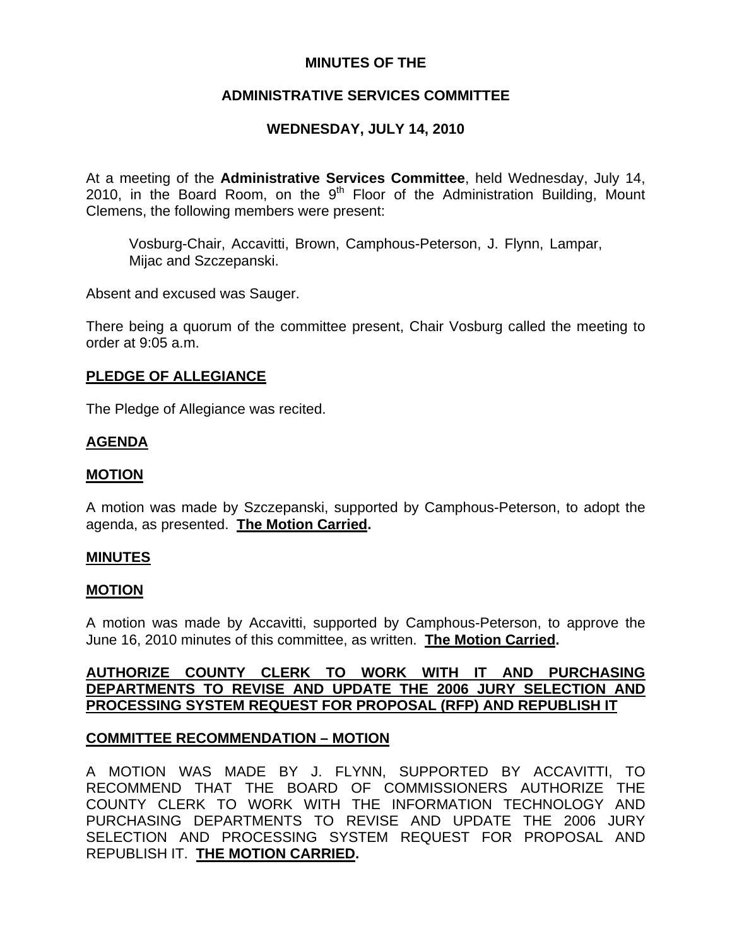# **MINUTES OF THE**

# **ADMINISTRATIVE SERVICES COMMITTEE**

# **WEDNESDAY, JULY 14, 2010**

At a meeting of the **Administrative Services Committee**, held Wednesday, July 14, 2010, in the Board Room, on the  $9<sup>th</sup>$  Floor of the Administration Building, Mount Clemens, the following members were present:

Vosburg-Chair, Accavitti, Brown, Camphous-Peterson, J. Flynn, Lampar, Mijac and Szczepanski.

Absent and excused was Sauger.

There being a quorum of the committee present, Chair Vosburg called the meeting to order at 9:05 a.m.

### **PLEDGE OF ALLEGIANCE**

The Pledge of Allegiance was recited.

## **AGENDA**

### **MOTION**

A motion was made by Szczepanski, supported by Camphous-Peterson, to adopt the agenda, as presented. **The Motion Carried.** 

## **MINUTES**

#### **MOTION**

A motion was made by Accavitti, supported by Camphous-Peterson, to approve the June 16, 2010 minutes of this committee, as written. **The Motion Carried.** 

## **AUTHORIZE COUNTY CLERK TO WORK WITH IT AND PURCHASING DEPARTMENTS TO REVISE AND UPDATE THE 2006 JURY SELECTION AND PROCESSING SYSTEM REQUEST FOR PROPOSAL (RFP) AND REPUBLISH IT**

## **COMMITTEE RECOMMENDATION – MOTION**

A MOTION WAS MADE BY J. FLYNN, SUPPORTED BY ACCAVITTI, TO RECOMMEND THAT THE BOARD OF COMMISSIONERS AUTHORIZE THE COUNTY CLERK TO WORK WITH THE INFORMATION TECHNOLOGY AND PURCHASING DEPARTMENTS TO REVISE AND UPDATE THE 2006 JURY SELECTION AND PROCESSING SYSTEM REQUEST FOR PROPOSAL AND REPUBLISH IT. **THE MOTION CARRIED.**